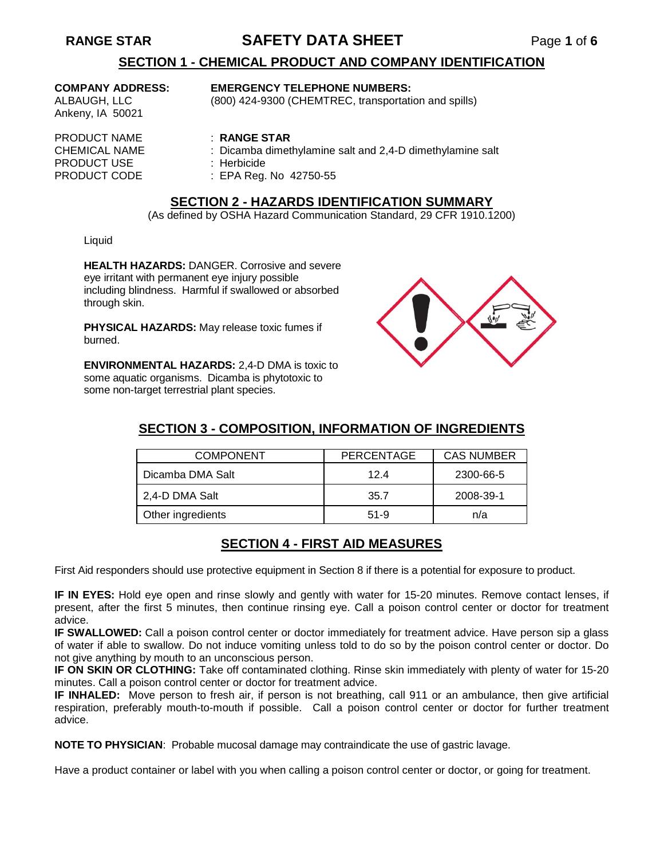# **RANGE STAR SAFETY DATA SHEET** Page **1** of **6**

# **SECTION 1 - CHEMICAL PRODUCT AND COMPANY IDENTIFICATION**

Ankeny, IA 50021

### **COMPANY ADDRESS: EMERGENCY TELEPHONE NUMBERS:**

ALBAUGH, LLC (800) 424-9300 (CHEMTREC, transportation and spills)

- $:$  Dicamba dimethylamine salt and 2,4-D dimethylamine salt
- PRODUCT USE : Herbicide
- PRODUCT CODE : EPA Reg. No. 42750-55

### **SECTION 2 - HAZARDS IDENTIFICATION SUMMARY**

(As defined by OSHA Hazard Communication Standard, 29 CFR 1910.1200)

Liquid

**HEALTH HAZARDS:** DANGER. Corrosive and severe eye irritant with permanent eye injury possible including blindness. Harmful if swallowed or absorbed through skin.

**PHYSICAL HAZARDS:** May release toxic fumes if burned.

**ENVIRONMENTAL HAZARDS:** 2,4-D DMA is toxic to some aquatic organisms. Dicamba is phytotoxic to some non-target terrestrial plant species.



# **SECTION 3 - COMPOSITION, INFORMATION OF INGREDIENTS**

| <b>COMPONENT</b>  | <b>PERCENTAGE</b> | <b>CAS NUMBER</b> |  |
|-------------------|-------------------|-------------------|--|
| Dicamba DMA Salt  | 124               | 2300-66-5         |  |
| 2,4-D DMA Salt    | 35.7              | 2008-39-1         |  |
| Other ingredients | $51-9$            | n/a               |  |

### **SECTION 4 - FIRST AID MEASURES**

First Aid responders should use protective equipment in Section 8 if there is a potential for exposure to product.

**IF IN EYES:** Hold eye open and rinse slowly and gently with water for 15-20 minutes. Remove contact lenses, if present, after the first 5 minutes, then continue rinsing eye. Call a poison control center or doctor for treatment advice.

**IF SWALLOWED:** Call a poison control center or doctor immediately for treatment advice. Have person sip a glass of water if able to swallow. Do not induce vomiting unless told to do so by the poison control center or doctor. Do not give anything by mouth to an unconscious person.

**IF ON SKIN OR CLOTHING:** Take off contaminated clothing. Rinse skin immediately with plenty of water for 15-20 minutes. Call a poison control center or doctor for treatment advice.

**IF INHALED:** Move person to fresh air, if person is not breathing, call 911 or an ambulance, then give artificial respiration, preferably mouth-to-mouth if possible. Call a poison control center or doctor for further treatment advice.

**NOTE TO PHYSICIAN**: Probable mucosal damage may contraindicate the use of gastric lavage.

Have a product container or label with you when calling a poison control center or doctor, or going for treatment.

# PRODUCT NAME : **RANGE STAR**<br>CHEMICAL NAME : Dicamba dimet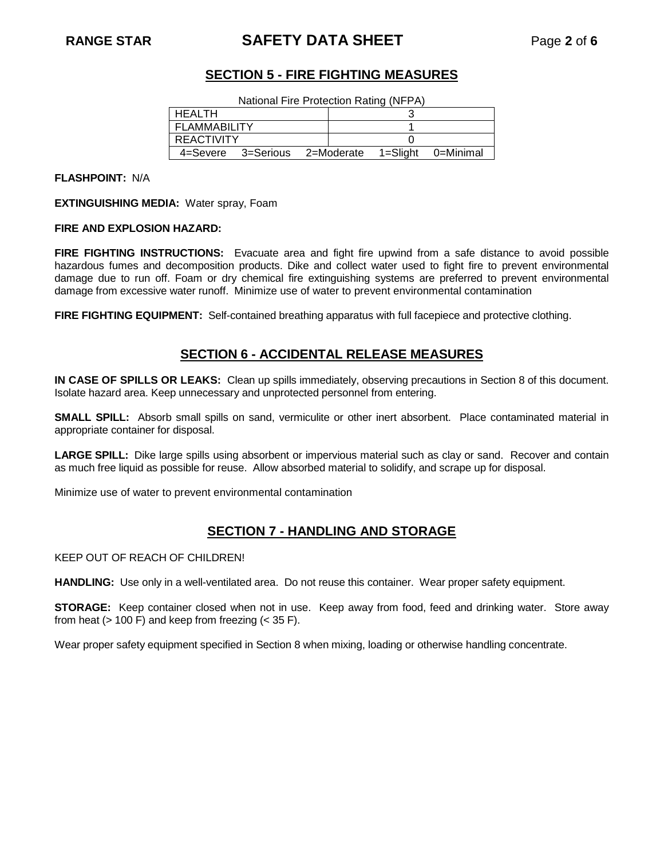# **RANGE STAR SAFETY DATA SHEET** Page **2** of **6**

# **SECTION 5 - FIRE FIGHTING MEASURES**

| National Fire Protection Rating (NFPA)           |  |  |  |  |
|--------------------------------------------------|--|--|--|--|
| <b>HEALTH</b>                                    |  |  |  |  |
| <b>FLAMMABILITY</b>                              |  |  |  |  |
| <b>REACTIVITY</b>                                |  |  |  |  |
| 4=Severe 3=Serious 2=Moderate 1=Slight 0=Minimal |  |  |  |  |

**FLASHPOINT:** N/A

**EXTINGUISHING MEDIA:** Water spray, Foam

### **FIRE AND EXPLOSION HAZARD:**

**FIRE FIGHTING INSTRUCTIONS:** Evacuate area and fight fire upwind from a safe distance to avoid possible hazardous fumes and decomposition products. Dike and collect water used to fight fire to prevent environmental damage due to run off. Foam or dry chemical fire extinguishing systems are preferred to prevent environmental damage from excessive water runoff. Minimize use of water to prevent environmental contamination

**FIRE FIGHTING EQUIPMENT:** Self-contained breathing apparatus with full facepiece and protective clothing.

### **SECTION 6 - ACCIDENTAL RELEASE MEASURES**

**IN CASE OF SPILLS OR LEAKS:** Clean up spills immediately, observing precautions in Section 8 of this document. Isolate hazard area. Keep unnecessary and unprotected personnel from entering.

**SMALL SPILL:** Absorb small spills on sand, vermiculite or other inert absorbent. Place contaminated material in appropriate container for disposal.

**LARGE SPILL:** Dike large spills using absorbent or impervious material such as clay or sand. Recover and contain as much free liquid as possible for reuse. Allow absorbed material to solidify, and scrape up for disposal.

Minimize use of water to prevent environmental contamination

### **SECTION 7 - HANDLING AND STORAGE**

KEEP OUT OF REACH OF CHILDREN!

**HANDLING:** Use only in a well-ventilated area. Do not reuse this container. Wear proper safety equipment.

**STORAGE:** Keep container closed when not in use. Keep away from food, feed and drinking water. Store away from heat ( $> 100$  F) and keep from freezing ( $<$  35 F).

Wear proper safety equipment specified in Section 8 when mixing, loading or otherwise handling concentrate.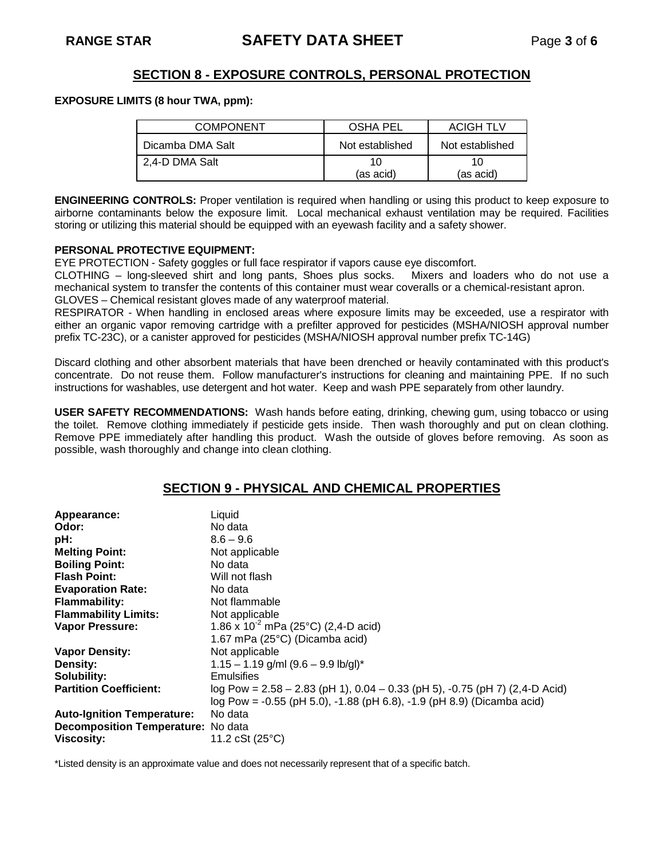# **SECTION 8 - EXPOSURE CONTROLS, PERSONAL PROTECTION**

### **EXPOSURE LIMITS (8 hour TWA, ppm):**

| <b>COMPONENT</b> | OSHA PEL        | <b>ACIGH TLV</b> |  |
|------------------|-----------------|------------------|--|
| Dicamba DMA Salt | Not established | Not established  |  |
| 2,4-D DMA Salt   | 10              | 10               |  |
|                  | (as acid)       | (as acid)        |  |

**ENGINEERING CONTROLS:** Proper ventilation is required when handling or using this product to keep exposure to airborne contaminants below the exposure limit. Local mechanical exhaust ventilation may be required. Facilities storing or utilizing this material should be equipped with an eyewash facility and a safety shower.

### **PERSONAL PROTECTIVE EQUIPMENT:**

EYE PROTECTION - Safety goggles or full face respirator if vapors cause eye discomfort.

CLOTHING – long-sleeved shirt and long pants, Shoes plus socks. Mixers and loaders who do not use a mechanical system to transfer the contents of this container must wear coveralls or a chemical-resistant apron. GLOVES – Chemical resistant gloves made of any waterproof material.

RESPIRATOR - When handling in enclosed areas where exposure limits may be exceeded, use a respirator with either an organic vapor removing cartridge with a prefilter approved for pesticides (MSHA/NIOSH approval number prefix TC-23C), or a canister approved for pesticides (MSHA/NIOSH approval number prefix TC-14G)

Discard clothing and other absorbent materials that have been drenched or heavily contaminated with this product's concentrate. Do not reuse them. Follow manufacturer's instructions for cleaning and maintaining PPE. If no such instructions for washables, use detergent and hot water. Keep and wash PPE separately from other laundry.

**USER SAFETY RECOMMENDATIONS:** Wash hands before eating, drinking, chewing gum, using tobacco or using the toilet. Remove clothing immediately if pesticide gets inside. Then wash thoroughly and put on clean clothing. Remove PPE immediately after handling this product. Wash the outside of gloves before removing. As soon as possible, wash thoroughly and change into clean clothing.

### **SECTION 9 - PHYSICAL AND CHEMICAL PROPERTIES**

| Appearance:<br>Odor:                      | Liquid<br>No data                                                             |
|-------------------------------------------|-------------------------------------------------------------------------------|
| pH:                                       | $8.6 - 9.6$                                                                   |
| <b>Melting Point:</b>                     | Not applicable                                                                |
| <b>Boiling Point:</b>                     | No data                                                                       |
| <b>Flash Point:</b>                       | Will not flash                                                                |
| <b>Evaporation Rate:</b>                  | No data                                                                       |
| <b>Flammability:</b>                      | Not flammable                                                                 |
| <b>Flammability Limits:</b>               | Not applicable                                                                |
| <b>Vapor Pressure:</b>                    | 1.86 x $10^{-2}$ mPa (25°C) (2,4-D acid)                                      |
|                                           | 1.67 mPa (25°C) (Dicamba acid)                                                |
| <b>Vapor Density:</b>                     | Not applicable                                                                |
| Density:                                  | $1.15 - 1.19$ g/ml $(9.6 - 9.9$ lb/gl)*                                       |
| Solubility:                               | Emulsifies                                                                    |
| <b>Partition Coefficient:</b>             | log Pow = $2.58 - 2.83$ (pH 1), 0.04 - 0.33 (pH 5), -0.75 (pH 7) (2,4-D Acid) |
|                                           | log Pow = -0.55 (pH 5.0), -1.88 (pH 6.8), -1.9 (pH 8.9) (Dicamba acid)        |
| <b>Auto-Ignition Temperature:</b>         | No data                                                                       |
| <b>Decomposition Temperature:</b> No data |                                                                               |
| <b>Viscosity:</b>                         | 11.2 cSt (25°C)                                                               |

\*Listed density is an approximate value and does not necessarily represent that of a specific batch.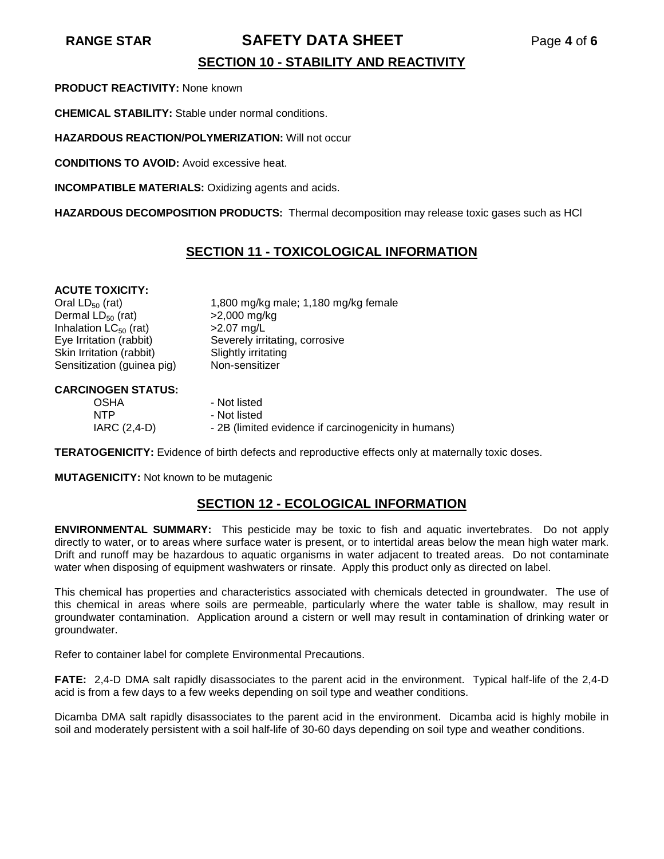# **RANGE STAR SAFETY DATA SHEET** Page **4** of **6**

# **SECTION 10 - STABILITY AND REACTIVITY**

**PRODUCT REACTIVITY:** None known

**CHEMICAL STABILITY:** Stable under normal conditions.

**HAZARDOUS REACTION/POLYMERIZATION:** Will not occur

**CONDITIONS TO AVOID:** Avoid excessive heat.

**INCOMPATIBLE MATERIALS:** Oxidizing agents and acids.

**HAZARDOUS DECOMPOSITION PRODUCTS:** Thermal decomposition may release toxic gases such as HCl

### **SECTION 11 - TOXICOLOGICAL INFORMATION**

### **ACUTE TOXICITY:**

Dermal  $LD_{50}$  (rat)  $>2,000$  mg/<br>Inhalation  $LC_{50}$  (rat)  $>2.07$  mg/L Inhalation  $LC_{50}$  (rat) Skin Irritation (rabbit) Slightly irritating Sensitization (guinea pig) Non-sensitizer

Oral LD<sub>50</sub> (rat) 1,800 mg/kg male; 1,180 mg/kg female<br>Dermal LD<sub>50</sub> (rat)  $>2,000$  mg/kg Eye Irritation (rabbit) Severely irritating, corrosive

### **CARCINOGEN STATUS:**

| <b>OSHA</b>  | - Not listed                                         |
|--------------|------------------------------------------------------|
| <b>NTP</b>   | - Not listed                                         |
| IARC (2,4-D) | - 2B (limited evidence if carcinogenicity in humans) |

**TERATOGENICITY:** Evidence of birth defects and reproductive effects only at maternally toxic doses.

**MUTAGENICITY:** Not known to be mutagenic

### **SECTION 12 - ECOLOGICAL INFORMATION**

**ENVIRONMENTAL SUMMARY:** This pesticide may be toxic to fish and aquatic invertebrates. Do not apply directly to water, or to areas where surface water is present, or to intertidal areas below the mean high water mark. Drift and runoff may be hazardous to aquatic organisms in water adjacent to treated areas. Do not contaminate water when disposing of equipment washwaters or rinsate. Apply this product only as directed on label.

This chemical has properties and characteristics associated with chemicals detected in groundwater. The use of this chemical in areas where soils are permeable, particularly where the water table is shallow, may result in groundwater contamination. Application around a cistern or well may result in contamination of drinking water or groundwater.

Refer to container label for complete Environmental Precautions.

**FATE:** 2,4-D DMA salt rapidly disassociates to the parent acid in the environment. Typical half-life of the 2,4-D acid is from a few days to a few weeks depending on soil type and weather conditions.

Dicamba DMA salt rapidly disassociates to the parent acid in the environment. Dicamba acid is highly mobile in soil and moderately persistent with a soil half-life of 30-60 days depending on soil type and weather conditions.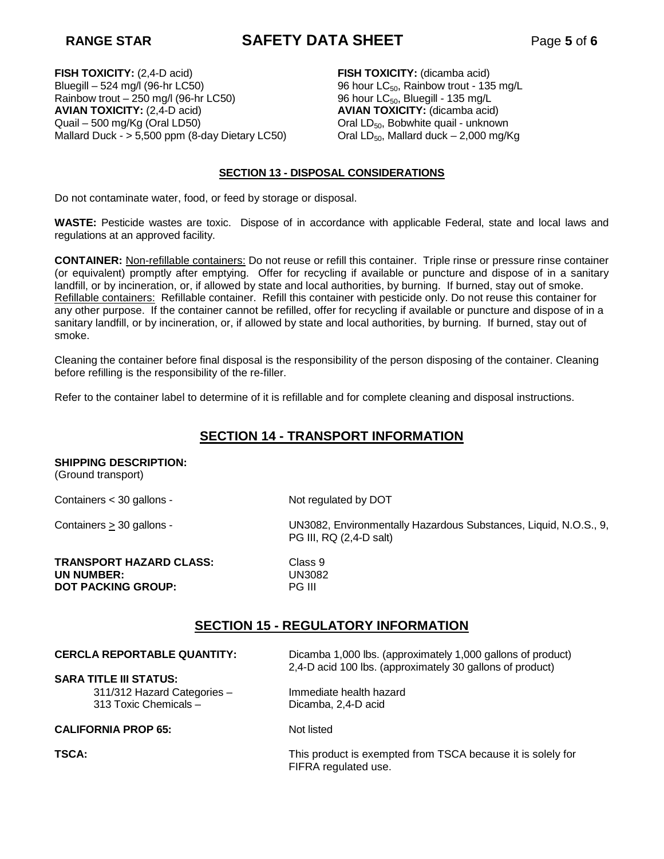# **RANGE STAR SAFETY DATA SHEET** Page **5** of **6**

**FISH TOXICITY:** (2,4-D acid) Bluegill – 524 mg/l (96-hr LC50) Rainbow trout – 250 mg/l (96-hr LC50) **AVIAN TOXICITY:** (2,4-D acid) Quail – 500 mg/Kg (Oral LD50) Mallard Duck - > 5,500 ppm (8-day Dietary LC50)

**FISH TOXICITY:** (dicamba acid) 96 hour  $LC_{50}$ , Rainbow trout - 135 mg/L 96 hour LC<sub>50</sub>, Bluegill - 135 mg/L **AVIAN TOXICITY:** (dicamba acid) Oral LD<sub>50</sub>, Bobwhite quail - unknown Oral  $LD_{50}$ , Mallard duck – 2,000 mg/Kg

### **SECTION 13 - DISPOSAL CONSIDERATIONS**

Do not contaminate water, food, or feed by storage or disposal.

**WASTE:** Pesticide wastes are toxic. Dispose of in accordance with applicable Federal, state and local laws and regulations at an approved facility.

**CONTAINER:** Non-refillable containers: Do not reuse or refill this container. Triple rinse or pressure rinse container (or equivalent) promptly after emptying. Offer for recycling if available or puncture and dispose of in a sanitary landfill, or by incineration, or, if allowed by state and local authorities, by burning. If burned, stay out of smoke. Refillable containers: Refillable container. Refill this container with pesticide only. Do not reuse this container for any other purpose. If the container cannot be refilled, offer for recycling if available or puncture and dispose of in a sanitary landfill, or by incineration, or, if allowed by state and local authorities, by burning. If burned, stay out of smoke.

Cleaning the container before final disposal is the responsibility of the person disposing of the container. Cleaning before refilling is the responsibility of the re-filler.

Refer to the container label to determine of it is refillable and for complete cleaning and disposal instructions.

# **SECTION 14 - TRANSPORT INFORMATION**

### **SHIPPING DESCRIPTION:**

(Ground transport)

Containers < 30 gallons - Not regulated by DOT

**TRANSPORT HAZARD CLASS: Class 9<br>
<b>UN NUMBER:** UN3082 **UN NUMBER:** UN308<br> **DOT PACKING GROUP:** PG III **DOT PACKING GROUP:** 

Containers > 30 gallons - Containers > 30 gallons - UN3082, Environmentally Hazardous Substances, Liquid, N.O.S., 9, PG III, RQ (2,4-D salt)

### **SECTION 15 - REGULATORY INFORMATION**

**CERCLA REPORTABLE QUANTITY:** Dicamba 1,000 lbs. (approximately 1,000 gallons of product) 2,4-D acid 100 lbs. (approximately 30 gallons of product)

**SARA TITLE III STATUS:** 311/312 Hazard Categories – Immediate health hazard 313 Toxic Chemicals – Dicamba, 2,4-D acid

### **CALIFORNIA PROP 65:** Not listed

**TSCA:** This product is exempted from TSCA because it is solely for FIFRA regulated use.